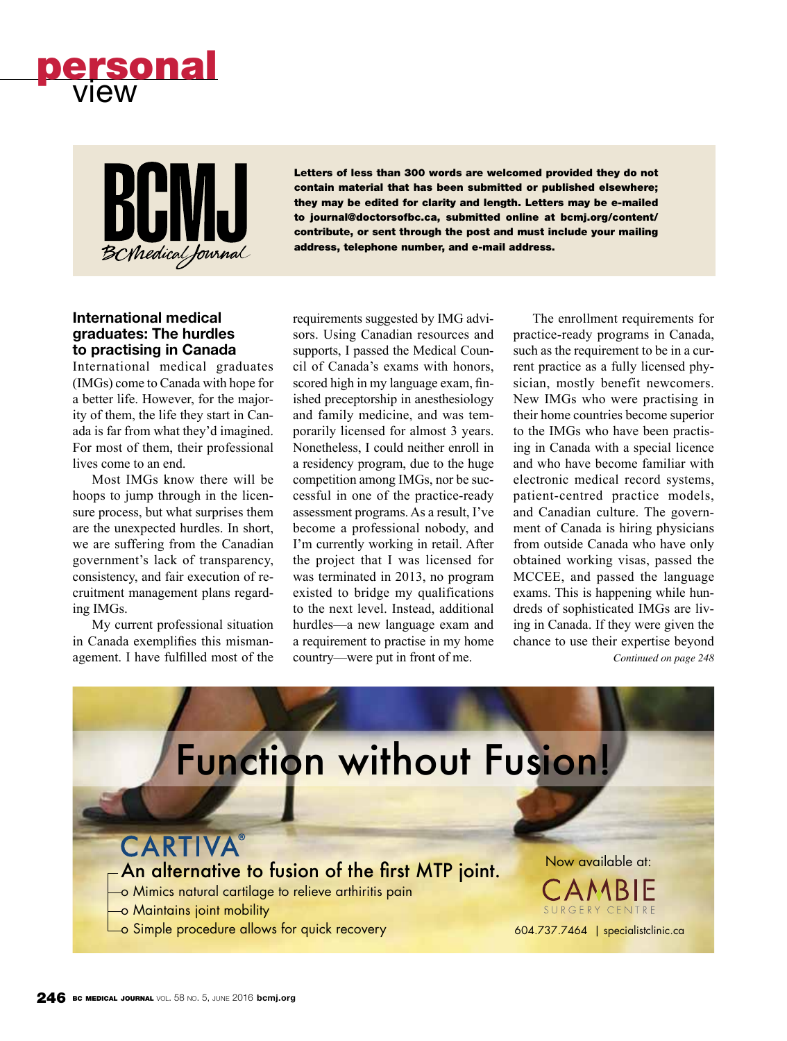



Letters of less than 300 words are welcomed provided they do not contain material that has been submitted or published elsewhere; they may be edited for clarity and length. Letters may be e-mailed to journal@doctorsofbc.ca, submitted online at bcmj.org/content/ contribute, or sent through the post and must include your mailing address, telephone number, and e-mail address.

### **International medical graduates: The hurdles to practising in Canada**

International medical graduates (IMGs) come to Canada with hope for a better life. However, for the majority of them, the life they start in Canada is far from what they'd imagined. For most of them, their professional lives come to an end.

Most IMGs know there will be hoops to jump through in the licensure process, but what surprises them are the unexpected hurdles. In short, we are suffering from the Canadian government's lack of transparency, consistency, and fair execution of recruitment management plans regarding IMGs.

My current professional situation in Canada exemplifies this mismanagement. I have fulfilled most of the requirements suggested by IMG advisors. Using Canadian resources and supports, I passed the Medical Council of Canada's exams with honors, scored high in my language exam, finished preceptorship in anesthesiology and family medicine, and was temporarily licensed for almost 3 years. Nonetheless, I could neither enroll in a residency program, due to the huge competition among IMGs, nor be successful in one of the practice-ready assessment programs. As a result, I've become a professional nobody, and I'm currently working in retail. After the project that I was licensed for was terminated in 2013, no program existed to bridge my qualifications to the next level. Instead, additional hurdles—a new language exam and a requirement to practise in my home country—were put in front of me.

The enrollment requirements for practice-ready programs in Canada, such as the requirement to be in a current practice as a fully licensed physician, mostly benefit newcomers. New IMGs who were practising in their home countries become superior to the IMGs who have been practising in Canada with a special licence and who have become familiar with electronic medical record systems, patient-centred practice models, and Canadian culture. The government of Canada is hiring physicians from outside Canada who have only obtained working visas, passed the MCCEE, and passed the language exams. This is happening while hundreds of sophisticated IMGs are living in Canada. If they were given the chance to use their expertise beyond *Continued on page 248*

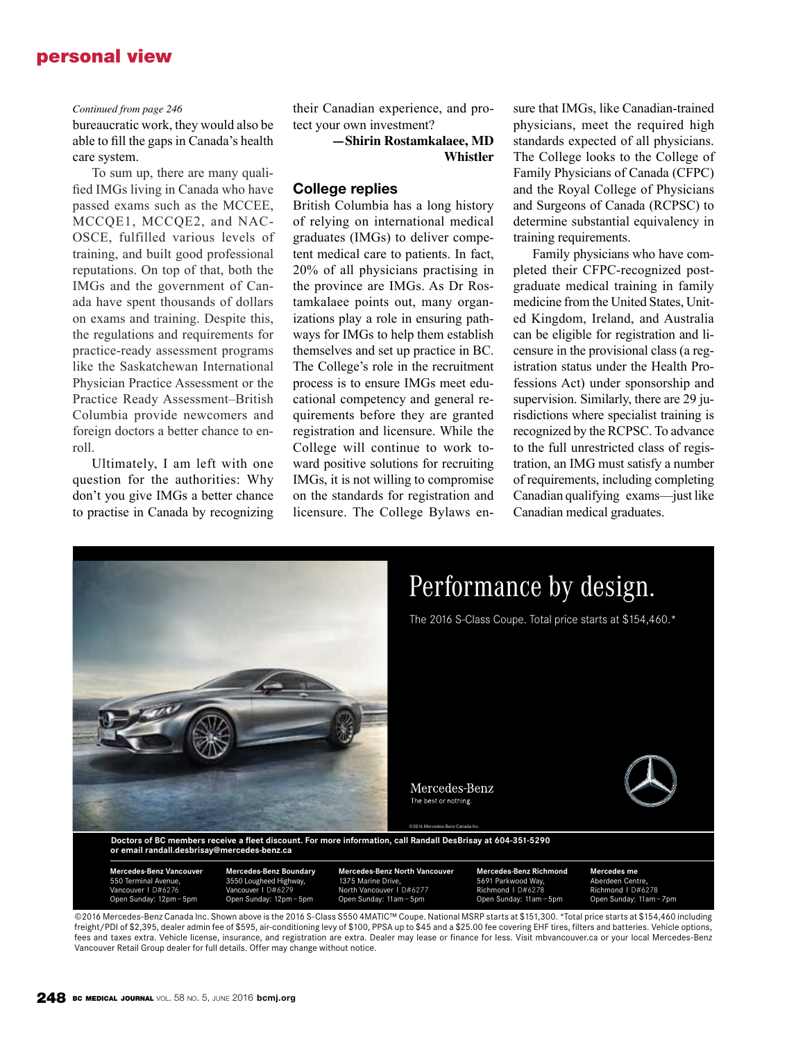## personal view

#### *Continued from page 246*

bureaucratic work, they would also be able to fill the gaps in Canada's health care system.

To sum up, there are many qualified IMGs living in Canada who have passed exams such as the MCCEE, MCCQE1, MCCQE2, and NAC-OSCE, fulfilled various levels of training, and built good professional reputations. On top of that, both the IMGs and the government of Canada have spent thousands of dollars on exams and training. Despite this, the regulations and requirements for practice-ready assessment programs like the Saskatchewan International Physician Practice Assessment or the Practice Ready Assessment–British Columbia provide newcomers and foreign doctors a better chance to enroll.

Ultimately, I am left with one question for the authorities: Why don't you give IMGs a better chance to practise in Canada by recognizing their Canadian experience, and protect your own investment?

> **—Shirin Rostamkalaee, MD Whistler**

#### **College replies**

British Columbia has a long history of relying on international medical graduates (IMGs) to deliver competent medical care to patients. In fact, 20% of all physicians practising in the province are IMGs. As Dr Rostamkalaee points out, many organizations play a role in ensuring pathways for IMGs to help them establish themselves and set up practice in BC. The College's role in the recruitment process is to ensure IMGs meet educational competency and general requirements before they are granted registration and licensure. While the College will continue to work toward positive solutions for recruiting IMGs, it is not willing to compromise on the standards for registration and licensure. The College Bylaws ensure that IMGs, like Canadian-trained physicians, meet the required high standards expected of all physicians. The College looks to the College of Family Physicians of Canada (CFPC) and the Royal College of Physicians and Surgeons of Canada (RCPSC) to determine substantial equivalency in training requirements.

Family physicians who have completed their CFPC-recognized postgraduate medical training in family medicine from the United States, United Kingdom, Ireland, and Australia can be eligible for registration and licensure in the provisional class (a registration status under the Health Professions Act) under sponsorship and supervision. Similarly, there are 29 jurisdictions where specialist training is recognized by the RCPSC. To advance to the full unrestricted class of registration, an IMG must satisfy a number of requirements, including completing Canadian qualifying exams—just like Canadian medical graduates.



©2016 Mercedes-Benz Canada Inc. Shown above is the 2016 S-Class S550 4MATIC™ Coupe. National MSRP starts at \$151,300. \*Total price starts at \$154,460 including freight/PDI of \$2,395, dealer admin fee of \$595, air-conditioning levy of \$100, PPSA up to \$45 and a \$25.00 fee covering EHF tires, filters and batteries. Vehicle options, fees and taxes extra. Vehicle license, insurance, and registration are extra. Dealer may lease or finance for less. Visit mbvancouver.ca or your local Mercedes-Benz Vancouver Retail Group dealer for full details. Offer may change without notice.